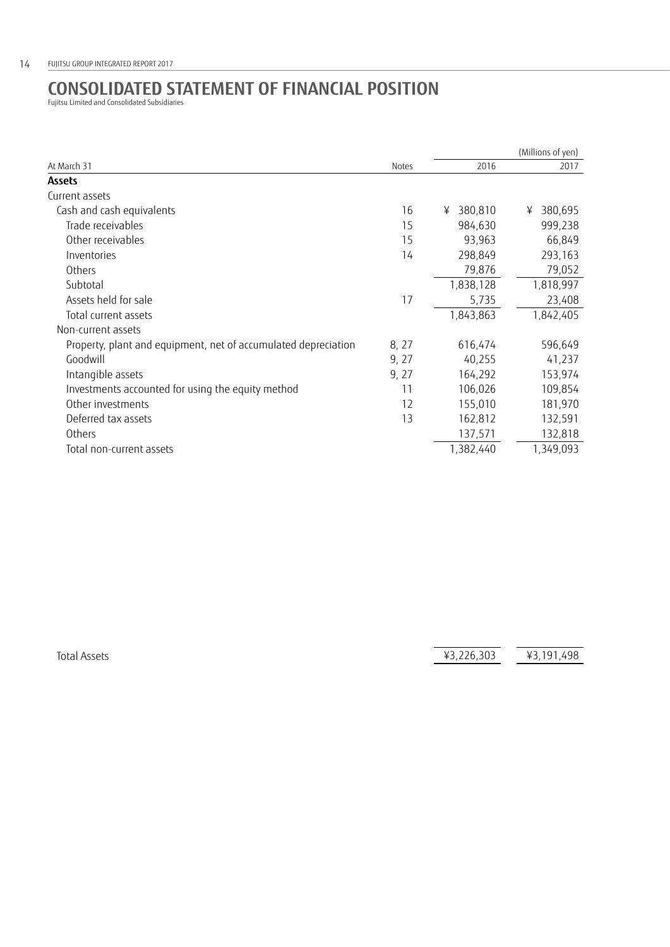## **CONSOLIDATED STATEMENT OF FINANCIAL POSITION** Fujitsu Limited and Consolidated Subsidiaries

|       |              | (Millions of yen) |
|-------|--------------|-------------------|
| Notes | 2016         | 2017              |
|       |              |                   |
|       |              |                   |
| 16    | 380,810<br>¥ | 380,695<br>¥      |
| 15    | 984,630      | 999,238           |
| 15    | 93,963       | 66,849            |
| 14    | 298,849      | 293,163           |
|       | 79,876       | 79,052            |
|       | 1,838,128    | 1,818,997         |
| 17    | 5,735        | 23,408            |
|       | 1,843,863    | 1,842,405         |
|       |              |                   |
| 8, 27 | 616,474      | 596,649           |
| 9, 27 | 40,255       | 41,237            |
| 9, 27 | 164,292      | 153,974           |
| 11    | 106,026      | 109,854           |
| 12    | 155,010      | 181,970           |
| 13    | 162,812      | 132,591           |
|       | 137,571      | 132,818           |
|       | 1,382,440    | 1,349,093         |
|       |              |                   |

Total Assets **43,226,303 43,191,498**